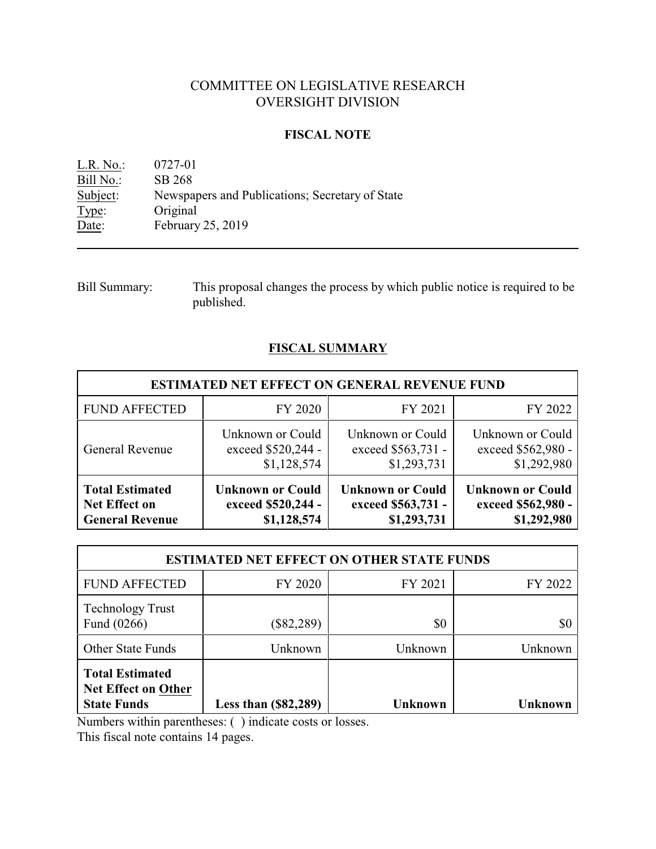# COMMITTEE ON LEGISLATIVE RESEARCH OVERSIGHT DIVISION

### **FISCAL NOTE**

L.R. No.: 0727-01 Bill No.: SB 268<br>Subject: Newspa Newspapers and Publications; Secretary of State Type: Original<br>Date: February February 25, 2019

### **FISCAL SUMMARY**

| <b>ESTIMATED NET EFFECT ON GENERAL REVENUE FUND</b> |                         |                         |                         |  |  |
|-----------------------------------------------------|-------------------------|-------------------------|-------------------------|--|--|
| <b>FUND AFFECTED</b>                                | FY 2020                 | FY 2021                 | FY 2022                 |  |  |
| <b>General Revenue</b>                              | Unknown or Could        | Unknown or Could        | Unknown or Could        |  |  |
|                                                     | exceed \$520,244 -      | exceed \$563,731 -      | exceed \$562,980 -      |  |  |
|                                                     | \$1,128,574             | \$1,293,731             | \$1,292,980             |  |  |
| <b>Total Estimated</b>                              | <b>Unknown or Could</b> | <b>Unknown or Could</b> | <b>Unknown or Could</b> |  |  |
| <b>Net Effect on</b>                                | exceed \$520,244 -      | exceed \$563,731 -      | exceed \$562,980 -      |  |  |
| <b>General Revenue</b>                              | \$1,128,574             | \$1,293,731             | \$1,292,980             |  |  |

| <b>ESTIMATED NET EFFECT ON OTHER STATE FUNDS</b>                           |                        |                |                |  |  |
|----------------------------------------------------------------------------|------------------------|----------------|----------------|--|--|
| <b>FUND AFFECTED</b>                                                       | FY 2020                | FY 2021        | FY 2022        |  |  |
| <b>Technology Trust</b><br>Fund (0266)                                     | $(\$82,289)$           | \$0            | \$0            |  |  |
| <b>Other State Funds</b>                                                   | Unknown                | Unknown        | Unknown        |  |  |
| <b>Total Estimated</b><br><b>Net Effect on Other</b><br><b>State Funds</b> | Less than $(\$82,289)$ | <b>Unknown</b> | <b>Unknown</b> |  |  |

Numbers within parentheses: ( ) indicate costs or losses.

This fiscal note contains 14 pages.

Bill Summary: This proposal changes the process by which public notice is required to be published.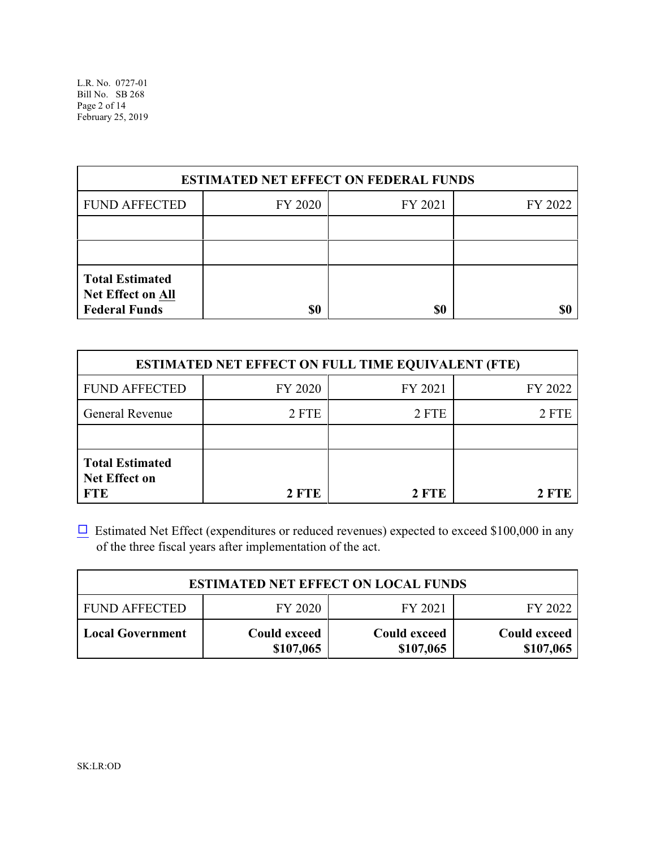| <b>ESTIMATED NET EFFECT ON FEDERAL FUNDS</b>                        |         |         |         |  |  |
|---------------------------------------------------------------------|---------|---------|---------|--|--|
| <b>FUND AFFECTED</b>                                                | FY 2020 | FY 2021 | FY 2022 |  |  |
|                                                                     |         |         |         |  |  |
|                                                                     |         |         |         |  |  |
| <b>Total Estimated</b><br>Net Effect on All<br><b>Federal Funds</b> | \$0     | \$0     |         |  |  |

|                                                              | <b>ESTIMATED NET EFFECT ON FULL TIME EQUIVALENT (FTE)</b> |         |         |
|--------------------------------------------------------------|-----------------------------------------------------------|---------|---------|
| <b>FUND AFFECTED</b>                                         | FY 2020                                                   | FY 2021 | FY 2022 |
| <b>General Revenue</b>                                       | 2 FTE                                                     | 2 FTE   | 2 FTE   |
|                                                              |                                                           |         |         |
| <b>Total Estimated</b><br><b>Net Effect on</b><br><b>FTE</b> | 2 FTE                                                     | 2 FTE   | 2 FTE   |

 $\Box$  Estimated Net Effect (expenditures or reduced revenues) expected to exceed \$100,000 in any of the three fiscal years after implementation of the act.

| <b>ESTIMATED NET EFFECT ON LOCAL FUNDS</b> |                                  |                                  |                           |  |  |
|--------------------------------------------|----------------------------------|----------------------------------|---------------------------|--|--|
| <b>FUND AFFECTED</b>                       | FY 2020                          | FY 2021                          | FY 2022                   |  |  |
| <b>Local Government</b>                    | <b>Could exceed</b><br>\$107,065 | <b>Could exceed</b><br>\$107,065 | Could exceed<br>\$107,065 |  |  |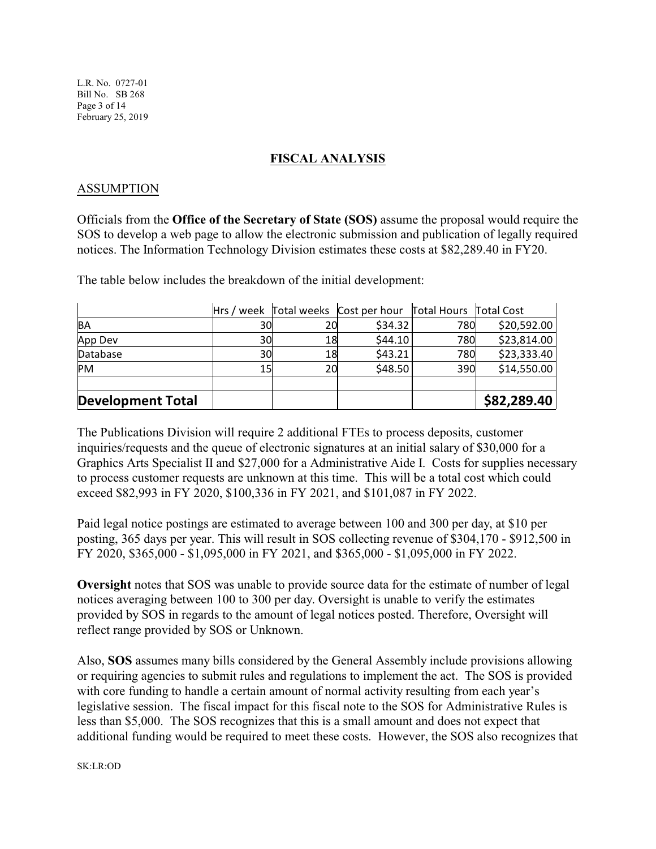L.R. No. 0727-01 Bill No. SB 268 Page 3 of 14 February 25, 2019

### **FISCAL ANALYSIS**

### ASSUMPTION

Officials from the **Office of the Secretary of State (SOS)** assume the proposal would require the SOS to develop a web page to allow the electronic submission and publication of legally required notices. The Information Technology Division estimates these costs at \$82,289.40 in FY20.

The table below includes the breakdown of the initial development:

|                          |    |    | Hrs / week Total weeks Cost per hour Total Hours Total Cost |     |             |
|--------------------------|----|----|-------------------------------------------------------------|-----|-------------|
| BA                       | 30 | 20 | \$34.32                                                     | 780 | \$20,592.00 |
| App Dev                  | 30 | 18 | \$44.10                                                     | 780 | \$23,814.00 |
| Database                 | 30 | 18 | \$43.21                                                     | 780 | \$23,333.40 |
| <b>PM</b>                | 15 | 20 | \$48.50                                                     | 390 | \$14,550.00 |
| <b>Development Total</b> |    |    |                                                             |     | \$82,289.40 |

The Publications Division will require 2 additional FTEs to process deposits, customer inquiries/requests and the queue of electronic signatures at an initial salary of \$30,000 for a Graphics Arts Specialist II and \$27,000 for a Administrative Aide I. Costs for supplies necessary to process customer requests are unknown at this time. This will be a total cost which could exceed \$82,993 in FY 2020, \$100,336 in FY 2021, and \$101,087 in FY 2022.

Paid legal notice postings are estimated to average between 100 and 300 per day, at \$10 per posting, 365 days per year. This will result in SOS collecting revenue of \$304,170 - \$912,500 in FY 2020, \$365,000 - \$1,095,000 in FY 2021, and \$365,000 - \$1,095,000 in FY 2022.

**Oversight** notes that SOS was unable to provide source data for the estimate of number of legal notices averaging between 100 to 300 per day. Oversight is unable to verify the estimates provided by SOS in regards to the amount of legal notices posted. Therefore, Oversight will reflect range provided by SOS or Unknown.

Also, **SOS** assumes many bills considered by the General Assembly include provisions allowing or requiring agencies to submit rules and regulations to implement the act. The SOS is provided with core funding to handle a certain amount of normal activity resulting from each year's legislative session. The fiscal impact for this fiscal note to the SOS for Administrative Rules is less than \$5,000. The SOS recognizes that this is a small amount and does not expect that additional funding would be required to meet these costs. However, the SOS also recognizes that

SK:LR:OD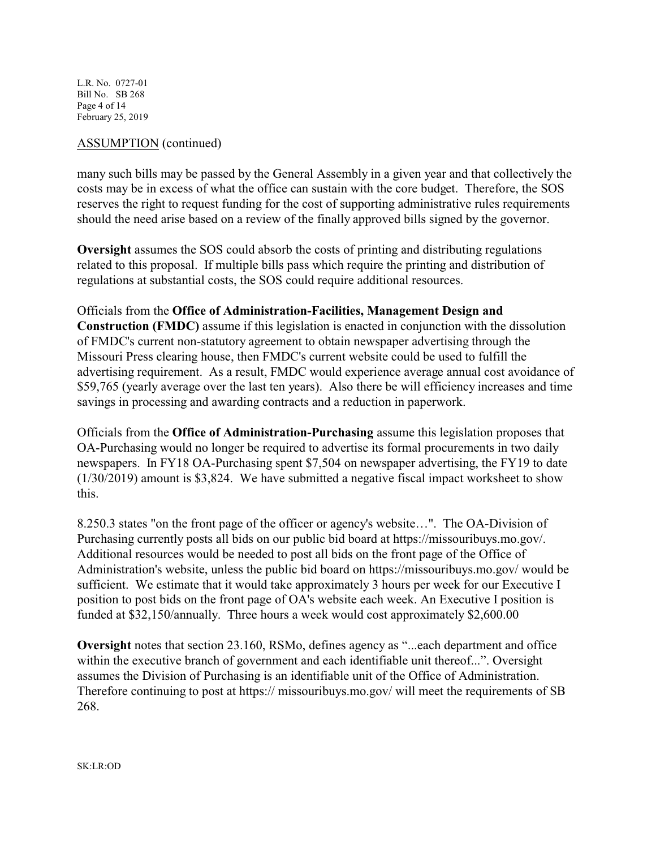L.R. No. 0727-01 Bill No. SB 268 Page 4 of 14 February 25, 2019

### ASSUMPTION (continued)

many such bills may be passed by the General Assembly in a given year and that collectively the costs may be in excess of what the office can sustain with the core budget. Therefore, the SOS reserves the right to request funding for the cost of supporting administrative rules requirements should the need arise based on a review of the finally approved bills signed by the governor.

**Oversight** assumes the SOS could absorb the costs of printing and distributing regulations related to this proposal. If multiple bills pass which require the printing and distribution of regulations at substantial costs, the SOS could require additional resources.

### Officials from the **Office of Administration-Facilities, Management Design and**

**Construction (FMDC)** assume if this legislation is enacted in conjunction with the dissolution of FMDC's current non-statutory agreement to obtain newspaper advertising through the Missouri Press clearing house, then FMDC's current website could be used to fulfill the advertising requirement. As a result, FMDC would experience average annual cost avoidance of \$59,765 (yearly average over the last ten years). Also there be will efficiency increases and time savings in processing and awarding contracts and a reduction in paperwork.

Officials from the **Office of Administration-Purchasing** assume this legislation proposes that OA-Purchasing would no longer be required to advertise its formal procurements in two daily newspapers. In FY18 OA-Purchasing spent \$7,504 on newspaper advertising, the FY19 to date (1/30/2019) amount is \$3,824. We have submitted a negative fiscal impact worksheet to show this.

8.250.3 states "on the front page of the officer or agency's website…". The OA-Division of Purchasing currently posts all bids on our public bid board at https://missouribuys.mo.gov/. Additional resources would be needed to post all bids on the front page of the Office of Administration's website, unless the public bid board on https://missouribuys.mo.gov/ would be sufficient. We estimate that it would take approximately 3 hours per week for our Executive I position to post bids on the front page of OA's website each week. An Executive I position is funded at \$32,150/annually. Three hours a week would cost approximately \$2,600.00

**Oversight** notes that section 23.160, RSMo, defines agency as "...each department and office within the executive branch of government and each identifiable unit thereof...". Oversight assumes the Division of Purchasing is an identifiable unit of the Office of Administration. Therefore continuing to post at https:// missouribuys.mo.gov/ will meet the requirements of SB 268.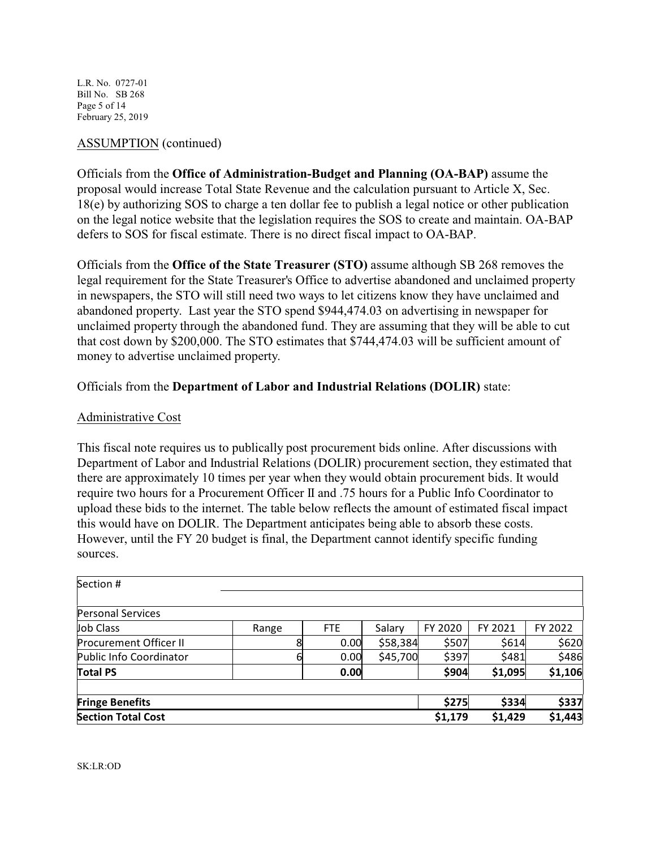L.R. No. 0727-01 Bill No. SB 268 Page 5 of 14 February 25, 2019

### ASSUMPTION (continued)

Officials from the **Office of Administration-Budget and Planning (OA-BAP)** assume the proposal would increase Total State Revenue and the calculation pursuant to Article X, Sec. 18(e) by authorizing SOS to charge a ten dollar fee to publish a legal notice or other publication on the legal notice website that the legislation requires the SOS to create and maintain. OA-BAP defers to SOS for fiscal estimate. There is no direct fiscal impact to OA-BAP.

Officials from the **Office of the State Treasurer (STO)** assume although SB 268 removes the legal requirement for the State Treasurer's Office to advertise abandoned and unclaimed property in newspapers, the STO will still need two ways to let citizens know they have unclaimed and abandoned property. Last year the STO spend \$944,474.03 on advertising in newspaper for unclaimed property through the abandoned fund. They are assuming that they will be able to cut that cost down by \$200,000. The STO estimates that \$744,474.03 will be sufficient amount of money to advertise unclaimed property.

### Officials from the **Department of Labor and Industrial Relations (DOLIR)** state:

### Administrative Cost

This fiscal note requires us to publically post procurement bids online. After discussions with Department of Labor and Industrial Relations (DOLIR) procurement section, they estimated that there are approximately 10 times per year when they would obtain procurement bids. It would require two hours for a Procurement Officer II and .75 hours for a Public Info Coordinator to upload these bids to the internet. The table below reflects the amount of estimated fiscal impact this would have on DOLIR. The Department anticipates being able to absorb these costs. However, until the FY 20 budget is final, the Department cannot identify specific funding sources.

| Section #                     |       |            |          |         |         |         |
|-------------------------------|-------|------------|----------|---------|---------|---------|
| <b>Personal Services</b>      |       |            |          |         |         |         |
| Job Class                     | Range | <b>FTE</b> | Salary   | FY 2020 | FY 2021 | FY 2022 |
| <b>Procurement Officer II</b> |       | 0.00       | \$58,384 | \$507   | \$614   | \$620   |
| Public Info Coordinator       | 6     | 0.00       | \$45,700 | \$397   | \$481   | \$486   |
| <b>Total PS</b>               |       | 0.00       |          | \$904   | \$1,095 | \$1,106 |
| <b>Fringe Benefits</b>        |       |            |          | \$275   | \$334   | \$337   |
| <b>Section Total Cost</b>     |       |            |          | \$1,179 | \$1,429 | \$1,443 |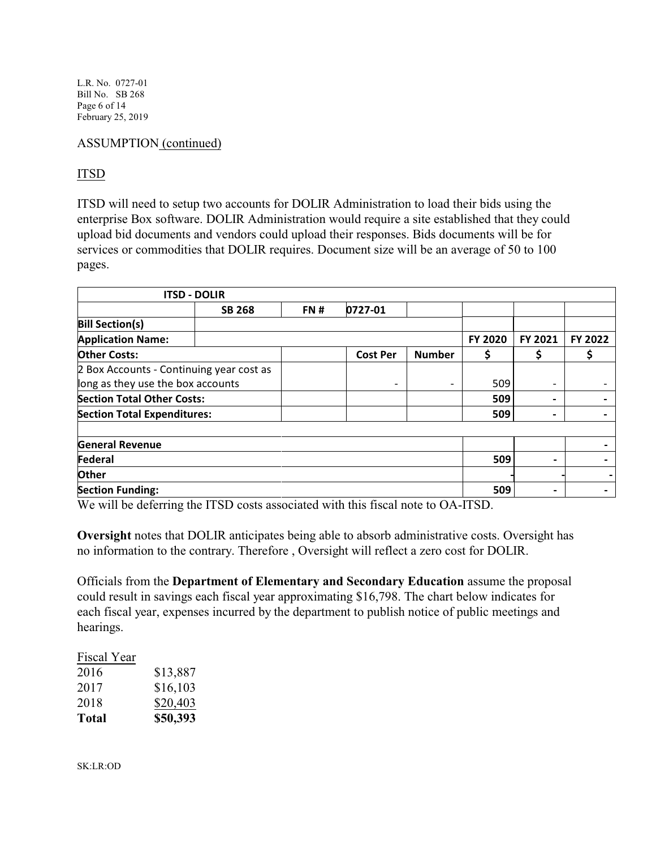L.R. No. 0727-01 Bill No. SB 268 Page 6 of 14 February 25, 2019

### ASSUMPTION (continued)

# ITSD

ITSD will need to setup two accounts for DOLIR Administration to load their bids using the enterprise Box software. DOLIR Administration would require a site established that they could upload bid documents and vendors could upload their responses. Bids documents will be for services or commodities that DOLIR requires. Document size will be an average of 50 to 100 pages.

| <b>ITSD - DOLIR</b>                      |               |     |                          |               |                |                          |         |
|------------------------------------------|---------------|-----|--------------------------|---------------|----------------|--------------------------|---------|
|                                          | <b>SB 268</b> | FN# | 0727-01                  |               |                |                          |         |
| <b>Bill Section(s)</b>                   |               |     |                          |               |                |                          |         |
| <b>Application Name:</b>                 |               |     |                          |               | <b>FY 2020</b> | FY 2021                  | FY 2022 |
| <b>Other Costs:</b>                      |               |     | <b>Cost Per</b>          | <b>Number</b> |                |                          |         |
| 2 Box Accounts - Continuing year cost as |               |     |                          |               |                |                          |         |
| long as they use the box accounts        |               |     | $\overline{\phantom{a}}$ |               | 509            | $\overline{\phantom{a}}$ |         |
| <b>Section Total Other Costs:</b>        |               |     |                          |               | 509            | $\overline{\phantom{0}}$ |         |
| <b>Section Total Expenditures:</b>       |               |     |                          |               | 509            | $\,$                     |         |
|                                          |               |     |                          |               |                |                          |         |
| <b>General Revenue</b>                   |               |     |                          |               |                |                          |         |
| Federal                                  |               |     |                          |               | 509            | ٠                        |         |
| <b>Other</b>                             |               |     |                          |               |                |                          |         |
| <b>Section Funding:</b>                  |               |     |                          |               | 509            | -                        |         |

We will be deferring the ITSD costs associated with this fiscal note to OA-ITSD.

**Oversight** notes that DOLIR anticipates being able to absorb administrative costs. Oversight has no information to the contrary. Therefore , Oversight will reflect a zero cost for DOLIR.

Officials from the **Department of Elementary and Secondary Education** assume the proposal could result in savings each fiscal year approximating \$16,798. The chart below indicates for each fiscal year, expenses incurred by the department to publish notice of public meetings and hearings.

| Fiscal Year |          |
|-------------|----------|
| 2016        | \$13,887 |
| 2017        | \$16,103 |
| 2018        | \$20,403 |
| Total       | \$50,393 |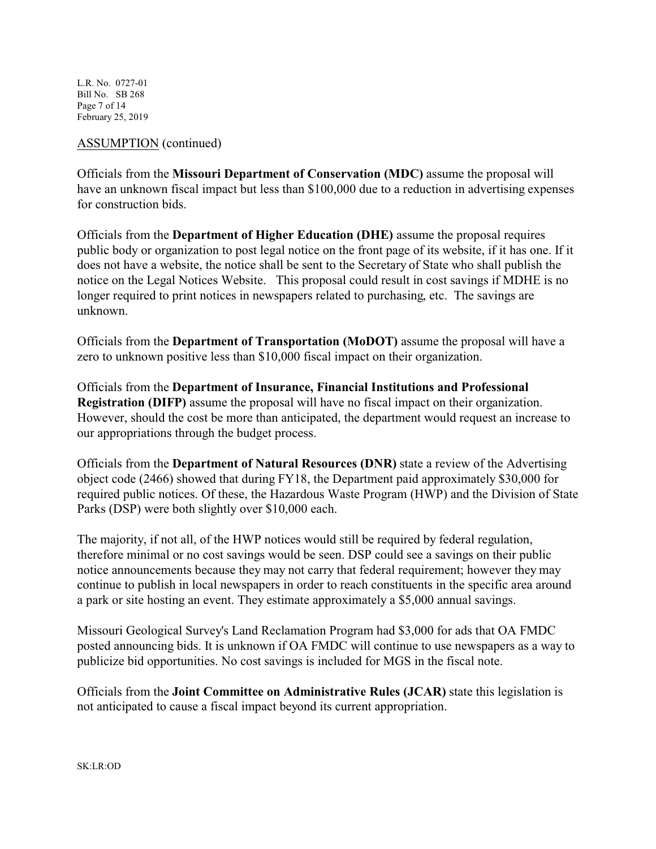L.R. No. 0727-01 Bill No. SB 268 Page 7 of 14 February 25, 2019

### ASSUMPTION (continued)

Officials from the **Missouri Department of Conservation (MDC)** assume the proposal will have an unknown fiscal impact but less than \$100,000 due to a reduction in advertising expenses for construction bids.

Officials from the **Department of Higher Education (DHE)** assume the proposal requires public body or organization to post legal notice on the front page of its website, if it has one. If it does not have a website, the notice shall be sent to the Secretary of State who shall publish the notice on the Legal Notices Website. This proposal could result in cost savings if MDHE is no longer required to print notices in newspapers related to purchasing, etc. The savings are unknown.

Officials from the **Department of Transportation (MoDOT)** assume the proposal will have a zero to unknown positive less than \$10,000 fiscal impact on their organization.

Officials from the **Department of Insurance, Financial Institutions and Professional Registration (DIFP)** assume the proposal will have no fiscal impact on their organization. However, should the cost be more than anticipated, the department would request an increase to our appropriations through the budget process.

Officials from the **Department of Natural Resources (DNR)** state a review of the Advertising object code (2466) showed that during FY18, the Department paid approximately \$30,000 for required public notices. Of these, the Hazardous Waste Program (HWP) and the Division of State Parks (DSP) were both slightly over \$10,000 each.

The majority, if not all, of the HWP notices would still be required by federal regulation, therefore minimal or no cost savings would be seen. DSP could see a savings on their public notice announcements because they may not carry that federal requirement; however they may continue to publish in local newspapers in order to reach constituents in the specific area around a park or site hosting an event. They estimate approximately a \$5,000 annual savings.

Missouri Geological Survey's Land Reclamation Program had \$3,000 for ads that OA FMDC posted announcing bids. It is unknown if OA FMDC will continue to use newspapers as a way to publicize bid opportunities. No cost savings is included for MGS in the fiscal note.

Officials from the **Joint Committee on Administrative Rules (JCAR)** state this legislation is not anticipated to cause a fiscal impact beyond its current appropriation.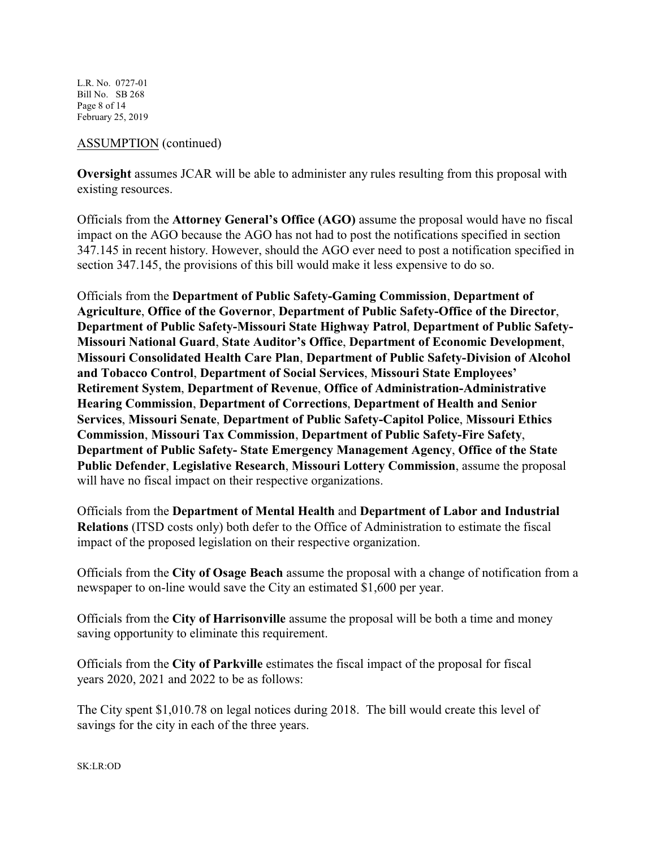L.R. No. 0727-01 Bill No. SB 268 Page 8 of 14 February 25, 2019

### ASSUMPTION (continued)

**Oversight** assumes JCAR will be able to administer any rules resulting from this proposal with existing resources.

Officials from the **Attorney General's Office (AGO)** assume the proposal would have no fiscal impact on the AGO because the AGO has not had to post the notifications specified in section 347.145 in recent history. However, should the AGO ever need to post a notification specified in section 347.145, the provisions of this bill would make it less expensive to do so.

Officials from the **Department of Public Safety-Gaming Commission**, **Department of Agriculture**, **Office of the Governor**, **Department of Public Safety-Office of the Director**, **Department of Public Safety-Missouri State Highway Patrol**, **Department of Public Safety-Missouri National Guard**, **State Auditor's Office**, **Department of Economic Development**, **Missouri Consolidated Health Care Plan**, **Department of Public Safety-Division of Alcohol and Tobacco Control**, **Department of Social Services**, **Missouri State Employees' Retirement System**, **Department of Revenue**, **Office of Administration-Administrative Hearing Commission**, **Department of Corrections**, **Department of Health and Senior Services**, **Missouri Senate**, **Department of Public Safety-Capitol Police**, **Missouri Ethics Commission**, **Missouri Tax Commission**, **Department of Public Safety-Fire Safety**, **Department of Public Safety- State Emergency Management Agency**, **Office of the State Public Defender**, **Legislative Research**, **Missouri Lottery Commission**, assume the proposal will have no fiscal impact on their respective organizations.

Officials from the **Department of Mental Health** and **Department of Labor and Industrial Relations** (ITSD costs only) both defer to the Office of Administration to estimate the fiscal impact of the proposed legislation on their respective organization.

Officials from the **City of Osage Beach** assume the proposal with a change of notification from a newspaper to on-line would save the City an estimated \$1,600 per year.

Officials from the **City of Harrisonville** assume the proposal will be both a time and money saving opportunity to eliminate this requirement.

Officials from the **City of Parkville** estimates the fiscal impact of the proposal for fiscal years 2020, 2021 and 2022 to be as follows:

The City spent \$1,010.78 on legal notices during 2018. The bill would create this level of savings for the city in each of the three years.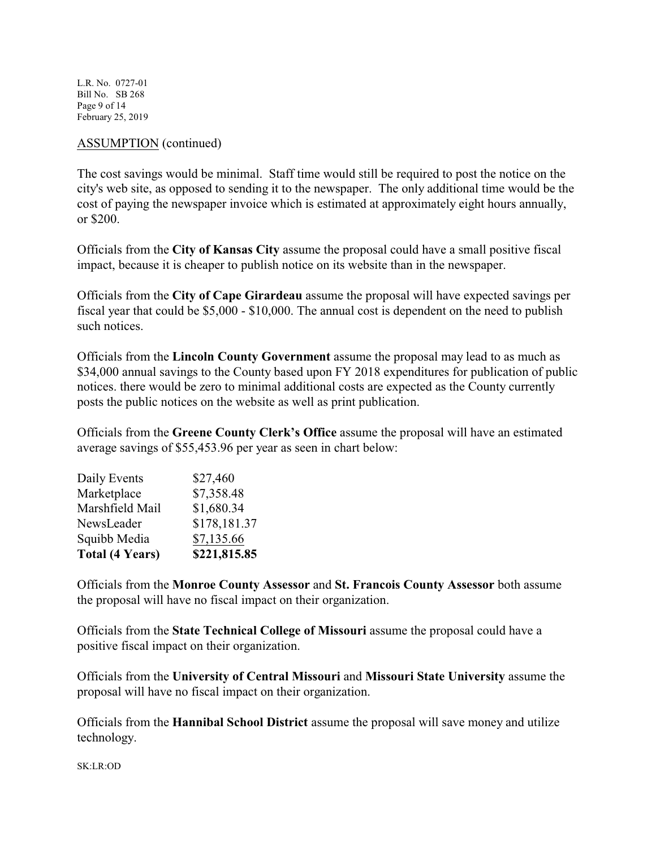L.R. No. 0727-01 Bill No. SB 268 Page 9 of 14 February 25, 2019

### ASSUMPTION (continued)

The cost savings would be minimal. Staff time would still be required to post the notice on the city's web site, as opposed to sending it to the newspaper. The only additional time would be the cost of paying the newspaper invoice which is estimated at approximately eight hours annually, or \$200.

Officials from the **City of Kansas City** assume the proposal could have a small positive fiscal impact, because it is cheaper to publish notice on its website than in the newspaper.

Officials from the **City of Cape Girardeau** assume the proposal will have expected savings per fiscal year that could be \$5,000 - \$10,000. The annual cost is dependent on the need to publish such notices.

Officials from the **Lincoln County Government** assume the proposal may lead to as much as \$34,000 annual savings to the County based upon FY 2018 expenditures for publication of public notices. there would be zero to minimal additional costs are expected as the County currently posts the public notices on the website as well as print publication.

Officials from the **Greene County Clerk's Office** assume the proposal will have an estimated average savings of \$55,453.96 per year as seen in chart below:

| <b>Total (4 Years)</b> | \$221,815.85 |
|------------------------|--------------|
| Squibb Media           | \$7,135.66   |
| NewsLeader             | \$178,181.37 |
| Marshfield Mail        | \$1,680.34   |
| Marketplace            | \$7,358.48   |
| Daily Events           | \$27,460     |

Officials from the **Monroe County Assessor** and **St. Francois County Assessor** both assume the proposal will have no fiscal impact on their organization.

Officials from the **State Technical College of Missouri** assume the proposal could have a positive fiscal impact on their organization.

Officials from the **University of Central Missouri** and **Missouri State University** assume the proposal will have no fiscal impact on their organization.

Officials from the **Hannibal School District** assume the proposal will save money and utilize technology.

SK:LR:OD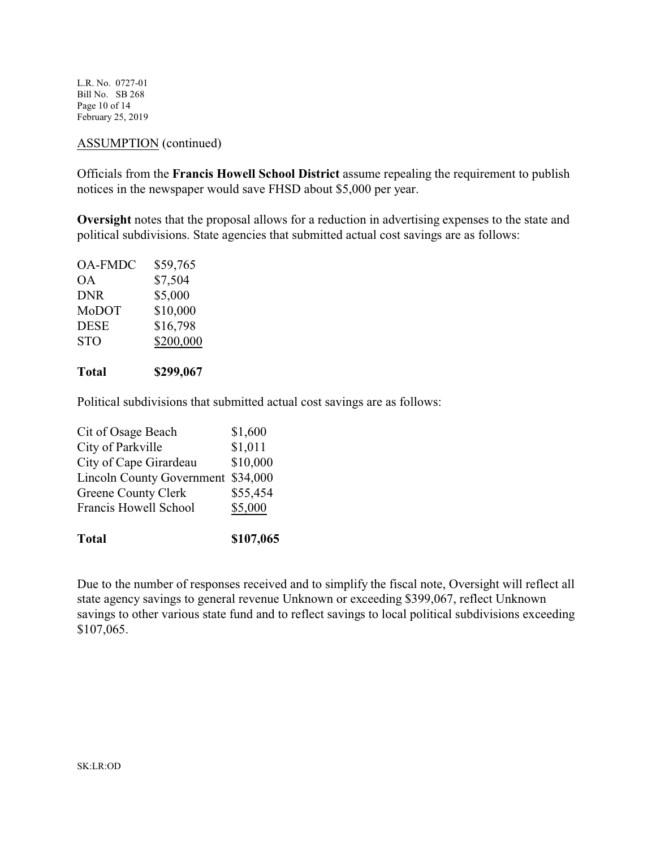L.R. No. 0727-01 Bill No. SB 268 Page 10 of 14 February 25, 2019

### ASSUMPTION (continued)

Officials from the **Francis Howell School District** assume repealing the requirement to publish notices in the newspaper would save FHSD about \$5,000 per year.

**Oversight** notes that the proposal allows for a reduction in advertising expenses to the state and political subdivisions. State agencies that submitted actual cost savings are as follows:

| <b>OA-FMDC</b> | \$59,765  |
|----------------|-----------|
| ОA             | \$7,504   |
| <b>DNR</b>     | \$5,000   |
| MoDOT          | \$10,000  |
| <b>DESE</b>    | \$16,798  |
| <b>STO</b>     | \$200,000 |
|                |           |

### **Total \$299,067**

Political subdivisions that submitted actual cost savings are as follows:

| <b>Total</b>                     | \$107,065 |
|----------------------------------|-----------|
| Francis Howell School            | \$5,000   |
| Greene County Clerk              | \$55,454  |
| <b>Lincoln County Government</b> | \$34,000  |
| City of Cape Girardeau           | \$10,000  |
| City of Parkville                | \$1,011   |
| Cit of Osage Beach               | \$1,600   |

Due to the number of responses received and to simplify the fiscal note, Oversight will reflect all state agency savings to general revenue Unknown or exceeding \$399,067, reflect Unknown savings to other various state fund and to reflect savings to local political subdivisions exceeding \$107,065.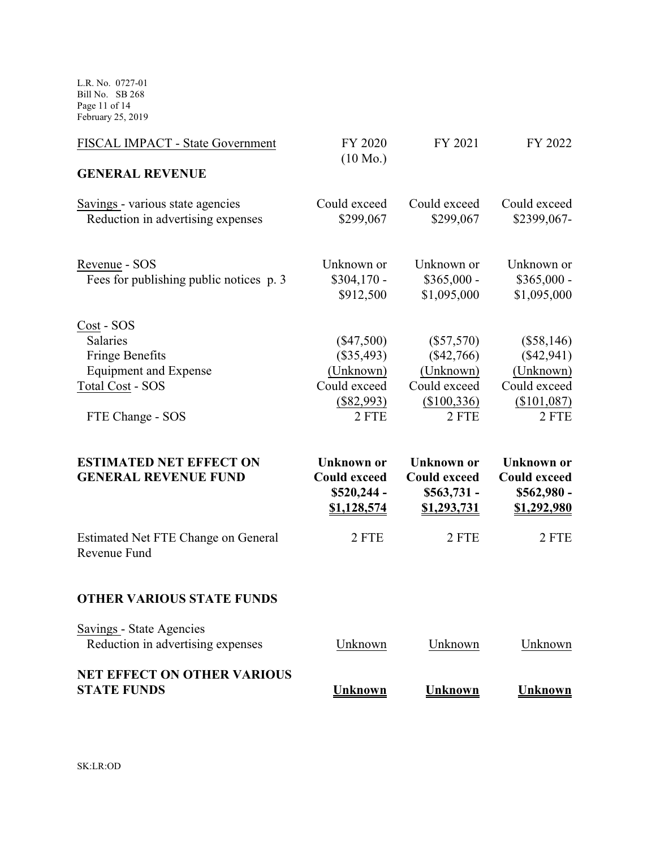L.R. No. 0727-01 Bill No. SB 268 Page 11 of 14 February 25, 2019

| FISCAL IMPACT - State Government                                          | FY 2020<br>$(10 \text{ Mo.})$                                          | FY 2021                                                                        | FY 2022                                                                |
|---------------------------------------------------------------------------|------------------------------------------------------------------------|--------------------------------------------------------------------------------|------------------------------------------------------------------------|
| <b>GENERAL REVENUE</b>                                                    |                                                                        |                                                                                |                                                                        |
| Savings - various state agencies<br>Reduction in advertising expenses     | Could exceed<br>\$299,067                                              | Could exceed<br>\$299,067                                                      | Could exceed<br>\$2399,067-                                            |
| Revenue - SOS<br>Fees for publishing public notices p. 3                  | Unknown or<br>$$304,170$ -<br>\$912,500                                | Unknown or<br>$$365,000 -$<br>\$1,095,000                                      | Unknown or<br>$$365,000 -$<br>\$1,095,000                              |
| Cost - SOS                                                                |                                                                        |                                                                                |                                                                        |
| <b>Salaries</b><br><b>Fringe Benefits</b><br><b>Equipment and Expense</b> | $(\$47,500)$<br>$(\$35,493)$<br>(Unknown)                              | $(\$57,570)$<br>$(\$42,766)$<br>(Unknown)                                      | $(\$58,146)$<br>$(\$42,941)$<br>(Unknown)                              |
| <b>Total Cost - SOS</b><br>FTE Change - SOS                               | Could exceed<br>(\$82,993)<br>2 FTE                                    | Could exceed<br>(\$100,336)<br>2 FTE                                           | Could exceed<br>(\$101,087)<br>2 FTE                                   |
| <b>ESTIMATED NET EFFECT ON</b><br><b>GENERAL REVENUE FUND</b>             | Unknown or<br><b>Could exceed</b><br>\$520,244 -<br><u>\$1,128,574</u> | <b>Unknown</b> or<br><b>Could exceed</b><br>$$563,731 -$<br><u>\$1,293,731</u> | <b>Unknown</b> or<br><b>Could exceed</b><br>\$562,980 -<br>\$1,292,980 |
| Estimated Net FTE Change on General<br>Revenue Fund                       | 2 FTE                                                                  | 2 FTE                                                                          | 2 FTE                                                                  |
| <b>OTHER VARIOUS STATE FUNDS</b>                                          |                                                                        |                                                                                |                                                                        |
| Savings - State Agencies<br>Reduction in advertising expenses             | Unknown                                                                | Unknown                                                                        | Unknown                                                                |
| <b>NET EFFECT ON OTHER VARIOUS</b><br><b>STATE FUNDS</b>                  | Unknown                                                                | Unknown                                                                        | <b>Unknown</b>                                                         |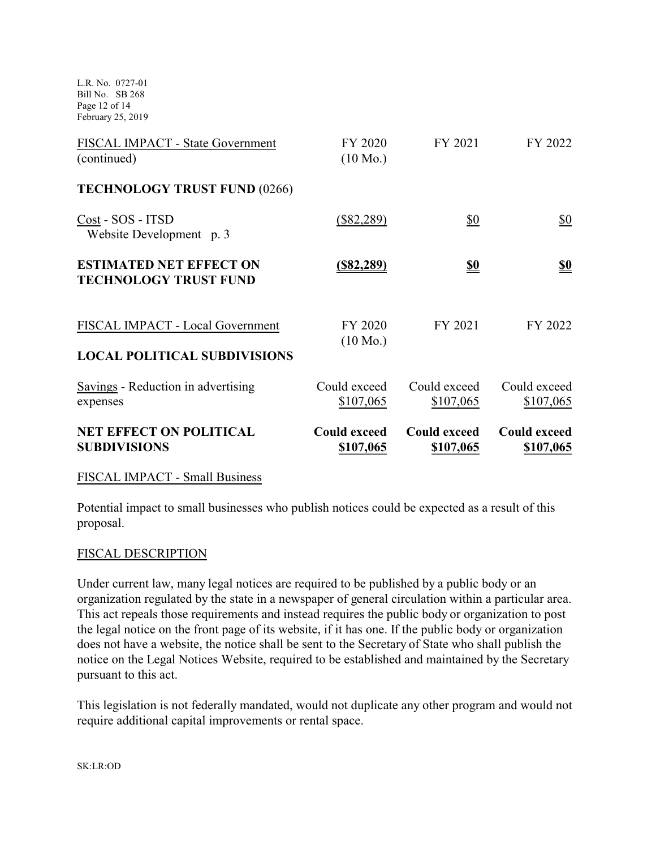L.R. No. 0727-01 Bill No. SB 268 Page 12 of 14 February 25, 2019

| <b>NET EFFECT ON POLITICAL</b><br><b>SUBDIVISIONS</b>          | <b>Could exceed</b><br>\$107,065 | <b>Could exceed</b><br>\$107,065 | <b>Could exceed</b><br>\$107,065 |
|----------------------------------------------------------------|----------------------------------|----------------------------------|----------------------------------|
| Savings - Reduction in advertising<br>expenses                 | Could exceed<br>\$107,065        | Could exceed<br>\$107,065        | Could exceed<br>\$107,065        |
| <b>LOCAL POLITICAL SUBDIVISIONS</b>                            | $(10 \text{ Mo.})$               |                                  |                                  |
| FISCAL IMPACT - Local Government                               | FY 2020                          | FY 2021                          | FY 2022                          |
| <b>ESTIMATED NET EFFECT ON</b><br><b>TECHNOLOGY TRUST FUND</b> | <u>(\$82,289)</u>                | <u>\$0</u>                       | <u>\$0</u>                       |
| Cost - SOS - ITSD<br>Website Development p. 3                  | $(\$82,289)$                     | \$0                              | \$0                              |
| <b>TECHNOLOGY TRUST FUND (0266)</b>                            |                                  |                                  |                                  |
| FISCAL IMPACT - State Government<br>(continued)                | FY 2020<br>$(10 \text{ Mo.})$    | FY 2021                          | FY 2022                          |

### FISCAL IMPACT - Small Business

Potential impact to small businesses who publish notices could be expected as a result of this proposal.

### FISCAL DESCRIPTION

Under current law, many legal notices are required to be published by a public body or an organization regulated by the state in a newspaper of general circulation within a particular area. This act repeals those requirements and instead requires the public body or organization to post the legal notice on the front page of its website, if it has one. If the public body or organization does not have a website, the notice shall be sent to the Secretary of State who shall publish the notice on the Legal Notices Website, required to be established and maintained by the Secretary pursuant to this act.

This legislation is not federally mandated, would not duplicate any other program and would not require additional capital improvements or rental space.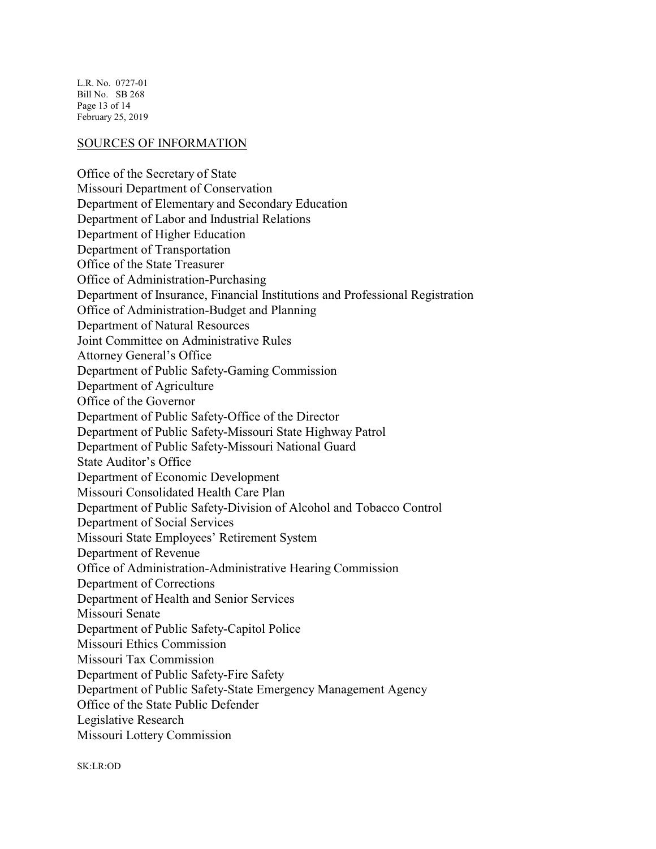L.R. No. 0727-01 Bill No. SB 268 Page 13 of 14 February 25, 2019

#### SOURCES OF INFORMATION

Office of the Secretary of State Missouri Department of Conservation Department of Elementary and Secondary Education Department of Labor and Industrial Relations Department of Higher Education Department of Transportation Office of the State Treasurer Office of Administration-Purchasing Department of Insurance, Financial Institutions and Professional Registration Office of Administration-Budget and Planning Department of Natural Resources Joint Committee on Administrative Rules Attorney General's Office Department of Public Safety-Gaming Commission Department of Agriculture Office of the Governor Department of Public Safety-Office of the Director Department of Public Safety-Missouri State Highway Patrol Department of Public Safety-Missouri National Guard State Auditor's Office Department of Economic Development Missouri Consolidated Health Care Plan Department of Public Safety-Division of Alcohol and Tobacco Control Department of Social Services Missouri State Employees' Retirement System Department of Revenue Office of Administration-Administrative Hearing Commission Department of Corrections Department of Health and Senior Services Missouri Senate Department of Public Safety-Capitol Police Missouri Ethics Commission Missouri Tax Commission Department of Public Safety-Fire Safety Department of Public Safety-State Emergency Management Agency Office of the State Public Defender Legislative Research Missouri Lottery Commission

SK:LR:OD